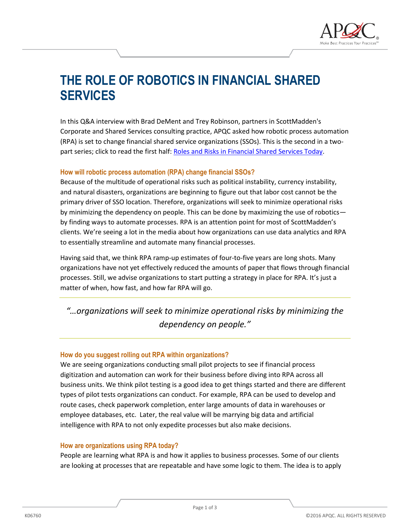

# **THE ROLE OF ROBOTICS IN FINANCIAL SHARED SERVICES**

In this Q&A interview with Brad DeMent and Trey Robinson, partners in ScottMadden's Corporate and Shared Services consulting practice, APQC asked how robotic process automation (RPA) is set to change financial shared service organizations (SSOs). This is the second in a twopart series; click to read the first half: [Roles and Risks in Financial Shared Services Today.](https://www.apqc.org/knowledge-base/documents/roles-and-risks-financial-shared-services-today)

### **How will robotic process automation (RPA) change financial SSOs?**

Because of the multitude of operational risks such as political instability, currency instability, and natural disasters, organizations are beginning to figure out that labor cost cannot be the primary driver of SSO location. Therefore, organizations will seek to minimize operational risks by minimizing the dependency on people. This can be done by maximizing the use of robotics by finding ways to automate processes. RPA is an attention point for most of ScottMadden's clients. We're seeing a lot in the media about how organizations can use data analytics and RPA to essentially streamline and automate many financial processes.

Having said that, we think RPA ramp-up estimates of four-to-five years are long shots. Many organizations have not yet effectively reduced the amounts of paper that flows through financial processes. Still, we advise organizations to start putting a strategy in place for RPA. It's just a matter of when, how fast, and how far RPA will go.

*"…organizations will seek to minimize operational risks by minimizing the dependency on people."*

#### **How do you suggest rolling out RPA within organizations?**

We are seeing organizations conducting small pilot projects to see if financial process digitization and automation can work for their business before diving into RPA across all business units. We think pilot testing is a good idea to get things started and there are different types of pilot tests organizations can conduct. For example, RPA can be used to develop and route cases, check paperwork completion, enter large amounts of data in warehouses or employee databases, etc. Later, the real value will be marrying big data and artificial intelligence with RPA to not only expedite processes but also make decisions.

#### **How are organizations using RPA today?**

People are learning what RPA is and how it applies to business processes. Some of our clients are looking at processes that are repeatable and have some logic to them. The idea is to apply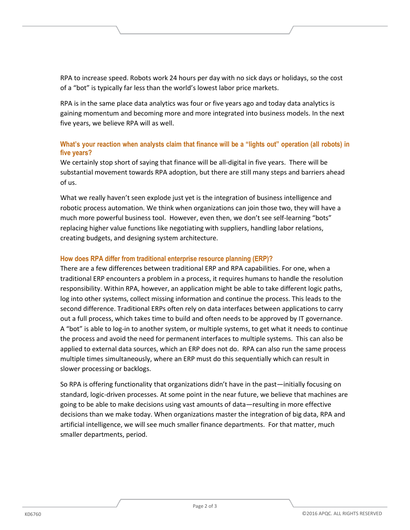RPA to increase speed. Robots work 24 hours per day with no sick days or holidays, so the cost of a "bot" is typically far less than the world's lowest labor price markets.

RPA is in the same place data analytics was four or five years ago and today data analytics is gaining momentum and becoming more and more integrated into business models. In the next five years, we believe RPA will as well.

## **What's your reaction when analysts claim that finance will be a "lights out" operation (all robots) in five years?**

We certainly stop short of saying that finance will be all-digital in five years. There will be substantial movement towards RPA adoption, but there are still many steps and barriers ahead of us.

What we really haven't seen explode just yet is the integration of business intelligence and robotic process automation. We think when organizations can join those two, they will have a much more powerful business tool. However, even then, we don't see self-learning "bots" replacing higher value functions like negotiating with suppliers, handling labor relations, creating budgets, and designing system architecture.

## **How does RPA differ from traditional enterprise resource planning (ERP)?**

There are a few differences between traditional ERP and RPA capabilities. For one, when a traditional ERP encounters a problem in a process, it requires humans to handle the resolution responsibility. Within RPA, however, an application might be able to take different logic paths, log into other systems, collect missing information and continue the process. This leads to the second difference. Traditional ERPs often rely on data interfaces between applications to carry out a full process, which takes time to build and often needs to be approved by IT governance. A "bot" is able to log-in to another system, or multiple systems, to get what it needs to continue the process and avoid the need for permanent interfaces to multiple systems. This can also be applied to external data sources, which an ERP does not do. RPA can also run the same process multiple times simultaneously, where an ERP must do this sequentially which can result in slower processing or backlogs.

So RPA is offering functionality that organizations didn't have in the past—initially focusing on standard, logic-driven processes. At some point in the near future, we believe that machines are going to be able to make decisions using vast amounts of data—resulting in more effective decisions than we make today. When organizations master the integration of big data, RPA and artificial intelligence, we will see much smaller finance departments. For that matter, much smaller departments, period.